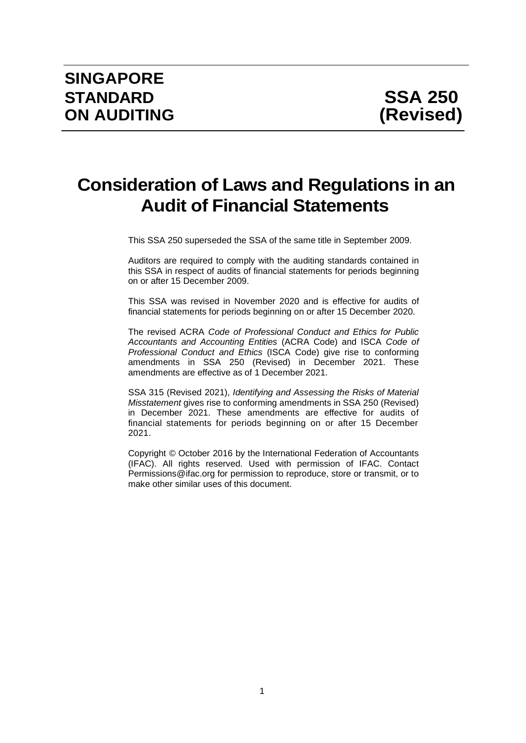# **Consideration of Laws and Regulations in an Audit of Financial Statements**

This SSA 250 superseded the SSA of the same title in September 2009.

Auditors are required to comply with the auditing standards contained in this SSA in respect of audits of financial statements for periods beginning on or after 15 December 2009.

This SSA was revised in November 2020 and is effective for audits of financial statements for periods beginning on or after 15 December 2020.

The revised ACRA *Code of Professional Conduct and Ethics for Public Accountants and Accounting Entities* (ACRA Code) and ISCA *Code of Professional Conduct and Ethics* (ISCA Code) give rise to conforming amendments in SSA 250 (Revised) in December 2021. These amendments are effective as of 1 December 2021.

SSA 315 (Revised 2021), *Identifying and Assessing the Risks of Material Misstatement* gives rise to conforming amendments in SSA 250 (Revised) in December 2021. These amendments are effective for audits of financial statements for periods beginning on or after 15 December 2021.

Copyright © October 2016 by the International Federation of Accountants (IFAC). All rights reserved. Used with permission of IFAC. Contact Permissions@ifac.org for permission to reproduce, store or transmit, or to make other similar uses of this document.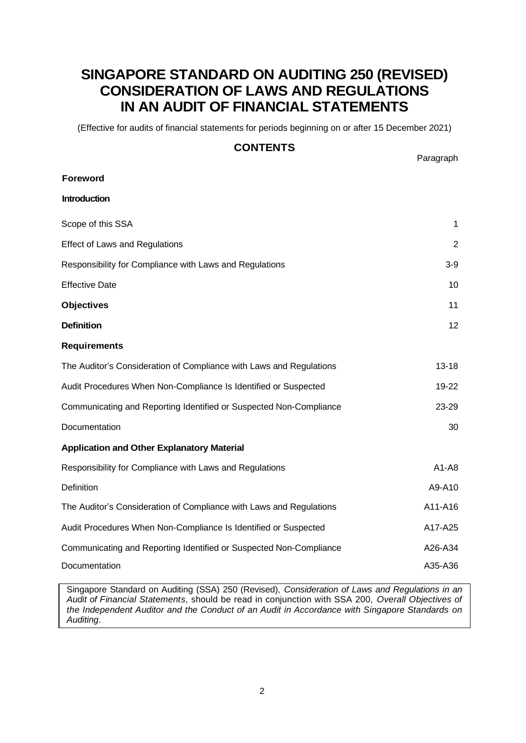# **SINGAPORE STANDARD ON AUDITING 250 (REVISED) CONSIDERATION OF LAWS AND REGULATIONS IN AN AUDIT OF FINANCIAL STATEMENTS**

(Effective for audits of financial statements for periods beginning on or after 15 December 2021)

## **CONTENTS**

**Foreword** 

Paragraph

| <b>Introduction</b>                                                                           |                |
|-----------------------------------------------------------------------------------------------|----------------|
| Scope of this SSA                                                                             | $\mathbf{1}$   |
| <b>Effect of Laws and Regulations</b>                                                         | $\overline{2}$ |
| Responsibility for Compliance with Laws and Regulations                                       | $3-9$          |
| <b>Effective Date</b>                                                                         | 10             |
| <b>Objectives</b>                                                                             | 11             |
| <b>Definition</b>                                                                             | 12             |
| <b>Requirements</b>                                                                           |                |
| The Auditor's Consideration of Compliance with Laws and Regulations                           | $13 - 18$      |
| Audit Procedures When Non-Compliance Is Identified or Suspected                               | 19-22          |
| Communicating and Reporting Identified or Suspected Non-Compliance                            | 23-29          |
| Documentation                                                                                 | 30             |
| <b>Application and Other Explanatory Material</b>                                             |                |
| Responsibility for Compliance with Laws and Regulations                                       | $A1 - A8$      |
| Definition                                                                                    | A9-A10         |
| The Auditor's Consideration of Compliance with Laws and Regulations                           | A11-A16        |
| Audit Procedures When Non-Compliance Is Identified or Suspected                               | A17-A25        |
| Communicating and Reporting Identified or Suspected Non-Compliance                            | A26-A34        |
| Documentation                                                                                 | A35-A36        |
| Cinconse Chanderd on Audition (CCA) OFO (Deviaed), Consideration of Lawn and Decudations in a |                |

Singapore Standard on Auditing (SSA) 250 (Revised), "*Consideration of Laws and Regulations in an Audit of Financial Statements*, should be read in conjunction with SSA 200, "*Overall Objectives of the Independent Auditor and the Conduct of an Audit in Accordance with Singapore Standards on Auditing*.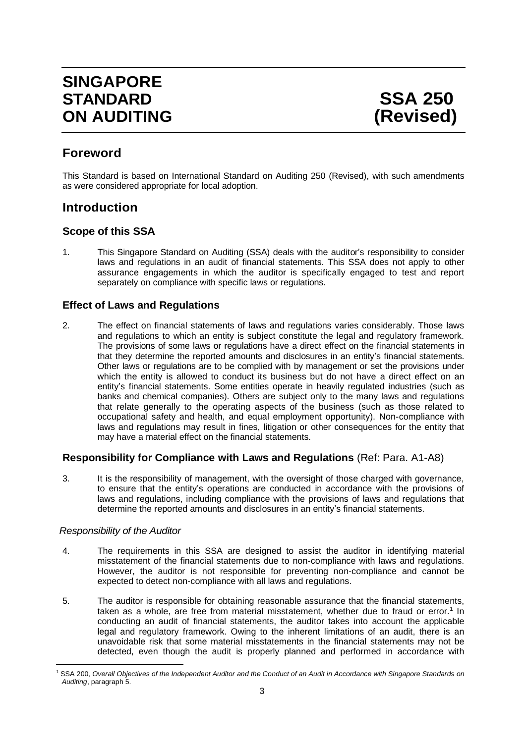# **SINGAPORE STANDARD SSA 250 ON AUDITING (Revised)**

# **Foreword**

This Standard is based on International Standard on Auditing 250 (Revised), with such amendments as were considered appropriate for local adoption.

# **Introduction**

## **Scope of this SSA**

1. This Singapore Standard on Auditing (SSA) deals with the auditor's responsibility to consider laws and regulations in an audit of financial statements. This SSA does not apply to other assurance engagements in which the auditor is specifically engaged to test and report separately on compliance with specific laws or regulations.

## **Effect of Laws and Regulations**

2. The effect on financial statements of laws and regulations varies considerably. Those laws and regulations to which an entity is subject constitute the legal and regulatory framework. The provisions of some laws or regulations have a direct effect on the financial statements in that they determine the reported amounts and disclosures in an entity's financial statements. Other laws or regulations are to be complied with by management or set the provisions under which the entity is allowed to conduct its business but do not have a direct effect on an entity's financial statements. Some entities operate in heavily regulated industries (such as banks and chemical companies). Others are subject only to the many laws and regulations that relate generally to the operating aspects of the business (such as those related to occupational safety and health, and equal employment opportunity). Non-compliance with laws and regulations may result in fines, litigation or other consequences for the entity that may have a material effect on the financial statements.

## **Responsibility for Compliance with Laws and Regulations** (Ref: Para. A1-A8)

3. It is the responsibility of management, with the oversight of those charged with governance, to ensure that the entity's operations are conducted in accordance with the provisions of laws and regulations, including compliance with the provisions of laws and regulations that determine the reported amounts and disclosures in an entity's financial statements.

## *Responsibility of the Auditor*

- 4. The requirements in this SSA are designed to assist the auditor in identifying material misstatement of the financial statements due to non-compliance with laws and regulations. However, the auditor is not responsible for preventing non-compliance and cannot be expected to detect non-compliance with all laws and regulations.
- 5. The auditor is responsible for obtaining reasonable assurance that the financial statements, taken as a whole, are free from material misstatement, whether due to fraud or error.<sup>1</sup> In conducting an audit of financial statements, the auditor takes into account the applicable legal and regulatory framework. Owing to the inherent limitations of an audit, there is an unavoidable risk that some material misstatements in the financial statements may not be detected, even though the audit is properly planned and performed in accordance with

<sup>1</sup> SSA 200, *Overall Objectives of the Independent Auditor and the Conduct of an Audit in Accordance with Singapore Standards on Auditing*, paragraph 5.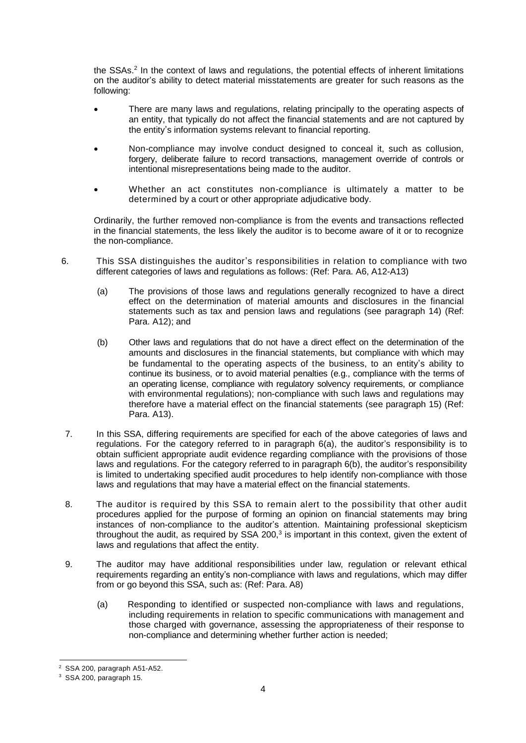the SSAs.<sup>2</sup> In the context of laws and regulations, the potential effects of inherent limitations on the auditor's ability to detect material misstatements are greater for such reasons as the following:

- There are many laws and regulations, relating principally to the operating aspects of an entity, that typically do not affect the financial statements and are not captured by the entity's information systems relevant to financial reporting.
- Non-compliance may involve conduct designed to conceal it, such as collusion, forgery, deliberate failure to record transactions, management override of controls or intentional misrepresentations being made to the auditor.
- Whether an act constitutes non-compliance is ultimately a matter to be determined by a court or other appropriate adjudicative body.

Ordinarily, the further removed non-compliance is from the events and transactions reflected in the financial statements, the less likely the auditor is to become aware of it or to recognize the non-compliance.

- 6. This SSA distinguishes the auditor's responsibilities in relation to compliance with two different categories of laws and regulations as follows: (Ref: Para. A6, A12-A13)
	- (a) The provisions of those laws and regulations generally recognized to have a direct effect on the determination of material amounts and disclosures in the financial statements such as tax and pension laws and regulations (see paragraph 14) (Ref: Para. A12); and
	- (b) Other laws and regulations that do not have a direct effect on the determination of the amounts and disclosures in the financial statements, but compliance with which may be fundamental to the operating aspects of the business, to an entity's ability to continue its business, or to avoid material penalties (e.g., compliance with the terms of an operating license, compliance with regulatory solvency requirements, or compliance with environmental regulations); non-compliance with such laws and regulations may therefore have a material effect on the financial statements (see paragraph 15) (Ref: Para. A13).
	- 7. In this SSA, differing requirements are specified for each of the above categories of laws and regulations. For the category referred to in paragraph 6(a), the auditor's responsibility is to obtain sufficient appropriate audit evidence regarding compliance with the provisions of those laws and regulations. For the category referred to in paragraph 6(b), the auditor's responsibility is limited to undertaking specified audit procedures to help identify non-compliance with those laws and regulations that may have a material effect on the financial statements.
	- 8. The auditor is required by this SSA to remain alert to the possibility that other audit procedures applied for the purpose of forming an opinion on financial statements may bring instances of non-compliance to the auditor's attention. Maintaining professional skepticism throughout the audit, as required by SSA 200, $3$  is important in this context, given the extent of laws and regulations that affect the entity.
	- 9. The auditor may have additional responsibilities under law, regulation or relevant ethical requirements regarding an entity's non-compliance with laws and regulations, which may differ from or go beyond this SSA, such as: (Ref: Para. A8)
		- (a) Responding to identified or suspected non-compliance with laws and regulations, including requirements in relation to specific communications with management and those charged with governance, assessing the appropriateness of their response to non-compliance and determining whether further action is needed;

<sup>2</sup> SSA 200, paragraph A51-A52.

<sup>3</sup> SSA 200, paragraph 15.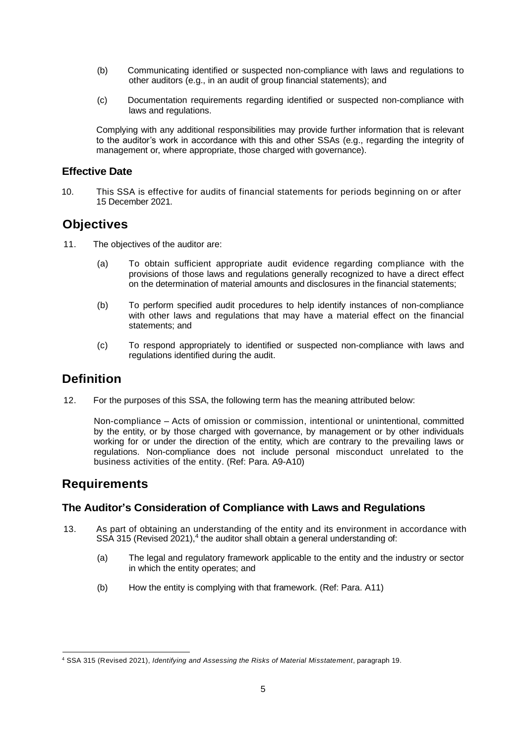- (b) Communicating identified or suspected non-compliance with laws and regulations to other auditors (e.g., in an audit of group financial statements); and
- (c) Documentation requirements regarding identified or suspected non-compliance with laws and regulations.

Complying with any additional responsibilities may provide further information that is relevant to the auditor's work in accordance with this and other SSAs (e.g., regarding the integrity of management or, where appropriate, those charged with governance).

## **Effective Date**

10. This SSA is effective for audits of financial statements for periods beginning on or after 15 December 2021.

## **Objectives**

- 11. The objectives of the auditor are:
	- (a) To obtain sufficient appropriate audit evidence regarding compliance with the provisions of those laws and regulations generally recognized to have a direct effect on the determination of material amounts and disclosures in the financial statements;
	- (b) To perform specified audit procedures to help identify instances of non-compliance with other laws and regulations that may have a material effect on the financial statements; and
	- (c) To respond appropriately to identified or suspected non-compliance with laws and regulations identified during the audit.

# **Definition**

12. For the purposes of this SSA, the following term has the meaning attributed below:

Non-compliance – Acts of omission or commission, intentional or unintentional, committed by the entity, or by those charged with governance, by management or by other individuals working for or under the direction of the entity, which are contrary to the prevailing laws or regulations. Non-compliance does not include personal misconduct unrelated to the business activities of the entity. (Ref: Para. A9-A10)

# **Requirements**

## **The Auditor's Consideration of Compliance with Laws and Regulations**

- 13. As part of obtaining an understanding of the entity and its environment in accordance with SSA 315 (Revised 2021),<sup>4</sup> the auditor shall obtain a general understanding of:
	- (a) The legal and regulatory framework applicable to the entity and the industry or sector in which the entity operates; and
	- (b) How the entity is complying with that framework. (Ref: Para. A11)

<sup>4</sup> SSA 315 (Revised 2021), *Identifying and Assessing the Risks of Material Misstatement*, paragraph 19.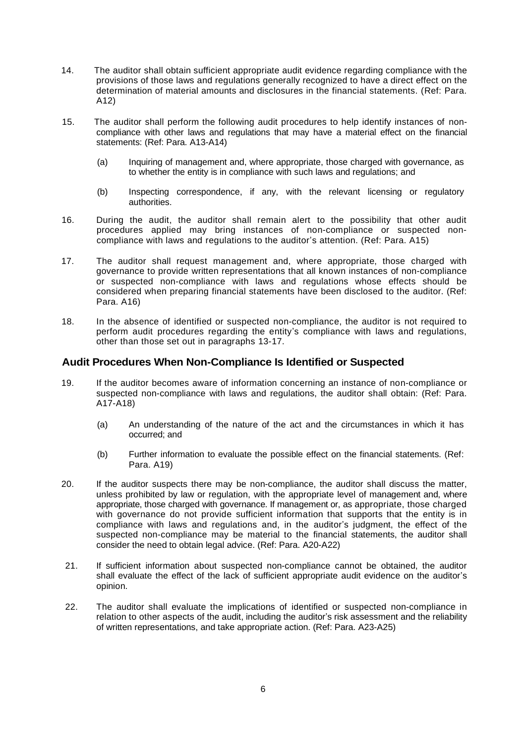- 14. The auditor shall obtain sufficient appropriate audit evidence regarding compliance with the provisions of those laws and regulations generally recognized to have a direct effect on the determination of material amounts and disclosures in the financial statements. (Ref: Para. A12)
- 15. The auditor shall perform the following audit procedures to help identify instances of noncompliance with other laws and regulations that may have a material effect on the financial statements: (Ref: Para. A13-A14)
	- (a) Inquiring of management and, where appropriate, those charged with governance, as to whether the entity is in compliance with such laws and regulations; and
	- (b) Inspecting correspondence, if any, with the relevant licensing or regulatory authorities.
- 16. During the audit, the auditor shall remain alert to the possibility that other audit procedures applied may bring instances of non-compliance or suspected noncompliance with laws and regulations to the auditor's attention. (Ref: Para. A15)
- 17. The auditor shall request management and, where appropriate, those charged with governance to provide written representations that all known instances of non-compliance or suspected non-compliance with laws and regulations whose effects should be considered when preparing financial statements have been disclosed to the auditor. (Ref: Para. A16)
- 18. In the absence of identified or suspected non-compliance, the auditor is not required to perform audit procedures regarding the entity's compliance with laws and regulations, other than those set out in paragraphs 13-17.

## **Audit Procedures When Non-Compliance Is Identified or Suspected**

- 19. If the auditor becomes aware of information concerning an instance of non-compliance or suspected non-compliance with laws and regulations, the auditor shall obtain: (Ref: Para. A17-A18)
	- (a) An understanding of the nature of the act and the circumstances in which it has occurred; and
	- (b) Further information to evaluate the possible effect on the financial statements. (Ref: Para. A19)
- 20. If the auditor suspects there may be non-compliance, the auditor shall discuss the matter, unless prohibited by law or regulation, with the appropriate level of management and, where appropriate, those charged with governance. If management or, as appropriate, those charged with governance do not provide sufficient information that supports that the entity is in compliance with laws and regulations and, in the auditor's judgment, the effect of the suspected non-compliance may be material to the financial statements, the auditor shall consider the need to obtain legal advice. (Ref: Para. A20-A22)
- 21. If sufficient information about suspected non-compliance cannot be obtained, the auditor shall evaluate the effect of the lack of sufficient appropriate audit evidence on the auditor's opinion.
- 22. The auditor shall evaluate the implications of identified or suspected non-compliance in relation to other aspects of the audit, including the auditor's risk assessment and the reliability of written representations, and take appropriate action. (Ref: Para. A23-A25)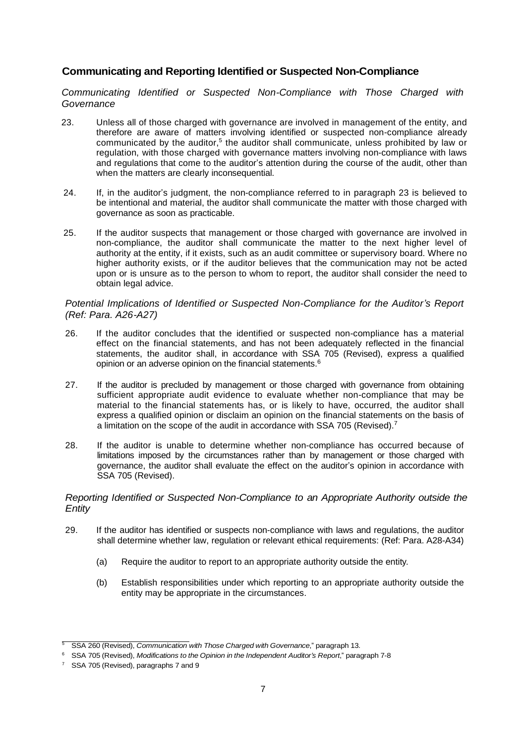## **Communicating and Reporting Identified or Suspected Non-Compliance**

*Communicating Identified or Suspected Non-Compliance with Those Charged with Governance*

- 23. Unless all of those charged with governance are involved in management of the entity, and therefore are aware of matters involving identified or suspected non-compliance already communicated by the auditor,<sup>5</sup> the auditor shall communicate, unless prohibited by law or regulation, with those charged with governance matters involving non-compliance with laws and regulations that come to the auditor's attention during the course of the audit, other than when the matters are clearly inconsequential.
- 24. If, in the auditor's judgment, the non-compliance referred to in paragraph 23 is believed to be intentional and material, the auditor shall communicate the matter with those charged with governance as soon as practicable.
- 25. If the auditor suspects that management or those charged with governance are involved in non-compliance, the auditor shall communicate the matter to the next higher level of authority at the entity, if it exists, such as an audit committee or supervisory board. Where no higher authority exists, or if the auditor believes that the communication may not be acted upon or is unsure as to the person to whom to report, the auditor shall consider the need to obtain legal advice.

## *Potential Implications of Identified or Suspected Non-Compliance for the Auditor's Report (Ref: Para. A26-A27)*

- 26. If the auditor concludes that the identified or suspected non-compliance has a material effect on the financial statements, and has not been adequately reflected in the financial statements, the auditor shall, in accordance with SSA 705 (Revised), express a qualified opinion or an adverse opinion on the financial statements.<sup>6</sup>
- 27. If the auditor is precluded by management or those charged with governance from obtaining sufficient appropriate audit evidence to evaluate whether non-compliance that may be material to the financial statements has, or is likely to have, occurred, the auditor shall express a qualified opinion or disclaim an opinion on the financial statements on the basis of a limitation on the scope of the audit in accordance with SSA 705 (Revised).<sup>7</sup>
- 28. If the auditor is unable to determine whether non-compliance has occurred because of limitations imposed by the circumstances rather than by management or those charged with governance, the auditor shall evaluate the effect on the auditor's opinion in accordance with SSA 705 (Revised).

## *Reporting Identified or Suspected Non-Compliance to an Appropriate Authority outside the Entity*

- 29. If the auditor has identified or suspects non-compliance with laws and regulations, the auditor shall determine whether law, regulation or relevant ethical requirements: (Ref: Para. A28-A34)
	- (a) Require the auditor to report to an appropriate authority outside the entity.
	- (b) Establish responsibilities under which reporting to an appropriate authority outside the entity may be appropriate in the circumstances.

<sup>5</sup> SSA 260 (Revised), *Communication with Those Charged with Governance*," paragraph 13.

<sup>6</sup> SSA 705 (Revised), *Modifications to the Opinion in the Independent Auditor's Report*," paragraph 7-8

<sup>&</sup>lt;sup>7</sup> SSA 705 (Revised), paragraphs 7 and 9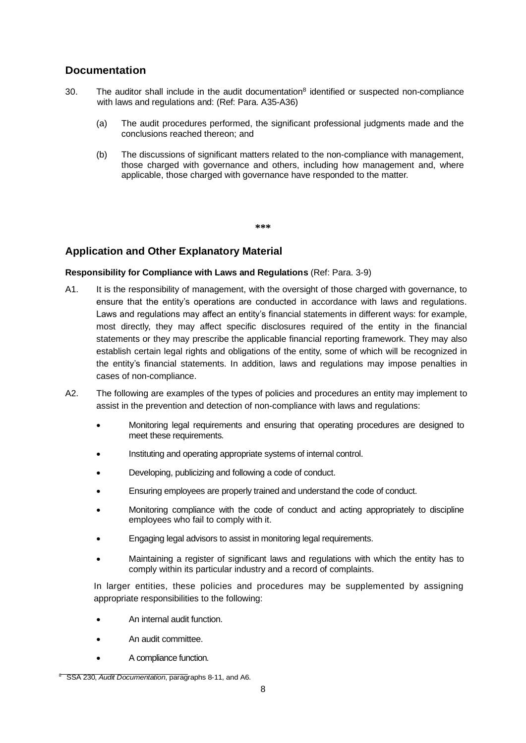## **Documentation**

- 30. The auditor shall include in the audit documentation<sup>8</sup> identified or suspected non-compliance with laws and regulations and: (Ref: Para. A35-A36)
	- (a) The audit procedures performed, the significant professional judgments made and the conclusions reached thereon; and
	- (b) The discussions of significant matters related to the non-compliance with management, those charged with governance and others, including how management and, where applicable, those charged with governance have responded to the matter.

**\*\*\***

## **Application and Other Explanatory Material**

## **Responsibility for Compliance with Laws and Regulations** (Ref: Para. 3-9)

- A1. It is the responsibility of management, with the oversight of those charged with governance, to ensure that the entity's operations are conducted in accordance with laws and regulations. Laws and regulations may affect an entity's financial statements in different ways: for example, most directly, they may affect specific disclosures required of the entity in the financial statements or they may prescribe the applicable financial reporting framework. They may also establish certain legal rights and obligations of the entity, some of which will be recognized in the entity's financial statements. In addition, laws and regulations may impose penalties in cases of non-compliance.
- A2. The following are examples of the types of policies and procedures an entity may implement to assist in the prevention and detection of non-compliance with laws and regulations:
	- Monitoring legal requirements and ensuring that operating procedures are designed to meet these requirements.
	- Instituting and operating appropriate systems of internal control.
	- Developing, publicizing and following a code of conduct.
	- Ensuring employees are properly trained and understand the code of conduct.
	- Monitoring compliance with the code of conduct and acting appropriately to discipline employees who fail to comply with it.
	- Engaging legal advisors to assist in monitoring legal requirements.
	- Maintaining a register of significant laws and regulations with which the entity has to comply within its particular industry and a record of complaints.

In larger entities, these policies and procedures may be supplemented by assigning appropriate responsibilities to the following:

- An internal audit function.
- An audit committee.
- A compliance function.

<sup>8</sup> SSA 230, *Audit Documentation*, paragraphs 8-11, and A6.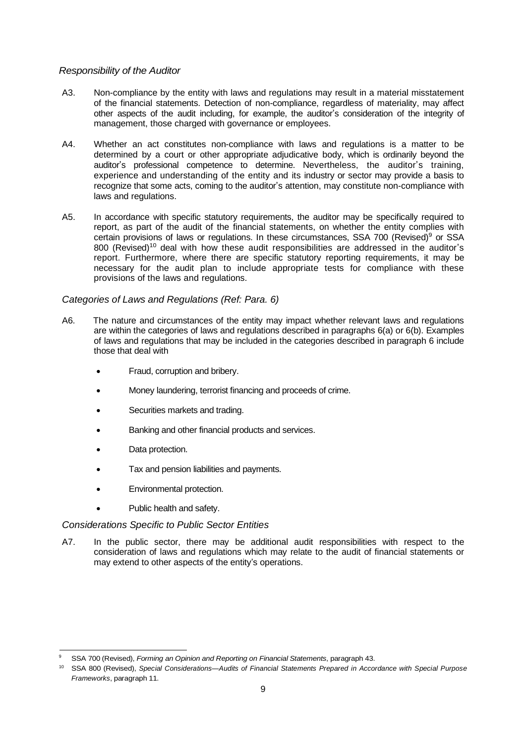## *Responsibility of the Auditor*

- A3. Non-compliance by the entity with laws and regulations may result in a material misstatement of the financial statements. Detection of non-compliance, regardless of materiality, may affect other aspects of the audit including, for example, the auditor's consideration of the integrity of management, those charged with governance or employees.
- A4. Whether an act constitutes non-compliance with laws and regulations is a matter to be determined by a court or other appropriate adjudicative body, which is ordinarily beyond the auditor's professional competence to determine. Nevertheless, the auditor's training, experience and understanding of the entity and its industry or sector may provide a basis to recognize that some acts, coming to the auditor's attention, may constitute non-compliance with laws and regulations.
- A5. In accordance with specific statutory requirements, the auditor may be specifically required to report, as part of the audit of the financial statements, on whether the entity complies with certain provisions of laws or regulations. In these circumstances, SSA 700 (Revised)<sup>9</sup> or SSA 800 (Revised)<sup>10</sup> deal with how these audit responsibilities are addressed in the auditor's report. Furthermore, where there are specific statutory reporting requirements, it may be necessary for the audit plan to include appropriate tests for compliance with these provisions of the laws and regulations.

## *Categories of Laws and Regulations (Ref: Para. 6)*

- A6. The nature and circumstances of the entity may impact whether relevant laws and regulations are within the categories of laws and regulations described in paragraphs 6(a) or 6(b). Examples of laws and regulations that may be included in the categories described in paragraph 6 include those that deal with
	- Fraud, corruption and bribery.
	- Money laundering, terrorist financing and proceeds of crime.
	- Securities markets and trading.
	- Banking and other financial products and services.
	- Data protection.
	- Tax and pension liabilities and payments.
	- Environmental protection.
	- Public health and safety.

#### *Considerations Specific to Public Sector Entities*

A7. In the public sector, there may be additional audit responsibilities with respect to the consideration of laws and regulations which may relate to the audit of financial statements or may extend to other aspects of the entity's operations.

<sup>9</sup> SSA 700 (Revised), *Forming an Opinion and Reporting on Financial Statements*, paragraph 43.

<sup>10</sup> SSA 800 (Revised), *Special Considerations—Audits of Financial Statements Prepared in Accordance with Special Purpose Frameworks*, paragraph 11.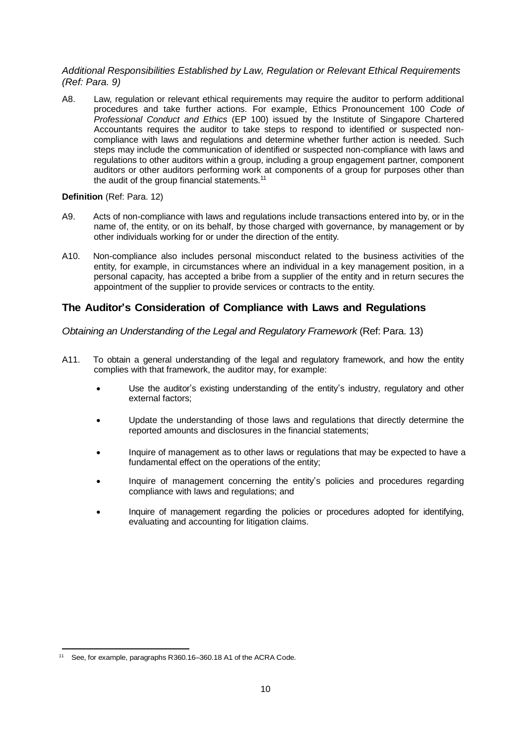## *Additional Responsibilities Established by Law, Regulation or Relevant Ethical Requirements (Ref: Para. 9)*

A8. Law, regulation or relevant ethical requirements may require the auditor to perform additional procedures and take further actions. For example, Ethics Pronouncement 100 *Code of Professional Conduct and Ethics* (EP 100) issued by the Institute of Singapore Chartered Accountants requires the auditor to take steps to respond to identified or suspected noncompliance with laws and regulations and determine whether further action is needed. Such steps may include the communication of identified or suspected non-compliance with laws and regulations to other auditors within a group, including a group engagement partner, component auditors or other auditors performing work at components of a group for purposes other than the audit of the group financial statements.<sup>11</sup>

**Definition** (Ref: Para. 12)

- A9. Acts of non-compliance with laws and regulations include transactions entered into by, or in the name of, the entity, or on its behalf, by those charged with governance, by management or by other individuals working for or under the direction of the entity.
- A10. Non-compliance also includes personal misconduct related to the business activities of the entity, for example, in circumstances where an individual in a key management position, in a personal capacity, has accepted a bribe from a supplier of the entity and in return secures the appointment of the supplier to provide services or contracts to the entity.

## **The Auditor's Consideration of Compliance with Laws and Regulations**

*Obtaining an Understanding of the Legal and Regulatory Framework* (Ref: Para. 13)

- A11. To obtain a general understanding of the legal and regulatory framework, and how the entity complies with that framework, the auditor may, for example:
	- Use the auditor's existing understanding of the entity's industry, regulatory and other external factors;
	- Update the understanding of those laws and regulations that directly determine the reported amounts and disclosures in the financial statements;
	- Inquire of management as to other laws or regulations that may be expected to have a fundamental effect on the operations of the entity;
	- Inquire of management concerning the entity's policies and procedures regarding compliance with laws and regulations; and
	- Inquire of management regarding the policies or procedures adopted for identifying, evaluating and accounting for litigation claims.

<sup>11</sup> See, for example, paragraphs R360.16–360.18 A1 of the ACRA Code.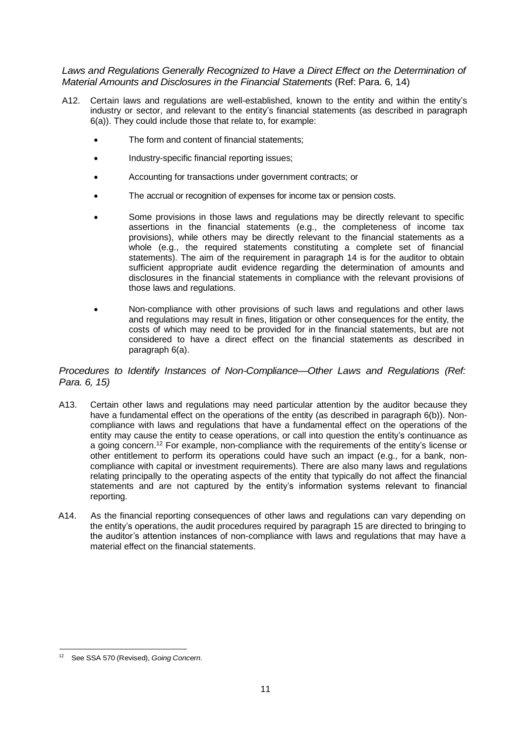*Laws and Regulations Generally Recognized to Have a Direct Effect on the Determination of Material Amounts and Disclosures in the Financial Statements* (Ref: Para. 6, 14)

- A12. Certain laws and regulations are well-established, known to the entity and within the entity's industry or sector, and relevant to the entity's financial statements (as described in paragraph 6(a)). They could include those that relate to, for example:
	- The form and content of financial statements;
	- Industry-specific financial reporting issues;
	- Accounting for transactions under government contracts; or
	- The accrual or recognition of expenses for income tax or pension costs.
	- Some provisions in those laws and regulations may be directly relevant to specific assertions in the financial statements (e.g., the completeness of income tax provisions), while others may be directly relevant to the financial statements as a whole (e.g., the required statements constituting a complete set of financial statements). The aim of the requirement in paragraph 14 is for the auditor to obtain sufficient appropriate audit evidence regarding the determination of amounts and disclosures in the financial statements in compliance with the relevant provisions of those laws and regulations.
	- Non-compliance with other provisions of such laws and regulations and other laws and regulations may result in fines, litigation or other consequences for the entity, the costs of which may need to be provided for in the financial statements, but are not considered to have a direct effect on the financial statements as described in paragraph 6(a).

### *Procedures to Identify Instances of Non-Compliance—Other Laws and Regulations (Ref: Para. 6, 15)*

- A13. Certain other laws and regulations may need particular attention by the auditor because they have a fundamental effect on the operations of the entity (as described in paragraph 6(b)). Noncompliance with laws and regulations that have a fundamental effect on the operations of the entity may cause the entity to cease operations, or call into question the entity's continuance as a going concern.<sup>12</sup> For example, non-compliance with the requirements of the entity's license or other entitlement to perform its operations could have such an impact (e.g., for a bank, noncompliance with capital or investment requirements). There are also many laws and regulations relating principally to the operating aspects of the entity that typically do not affect the financial statements and are not captured by the entity's information systems relevant to financial reporting.
- A14. As the financial reporting consequences of other laws and regulations can vary depending on the entity's operations, the audit procedures required by paragraph 15 are directed to bringing to the auditor's attention instances of non-compliance with laws and regulations that may have a material effect on the financial statements.

<sup>12</sup> See SSA 570 (Revised), *Going Concern*.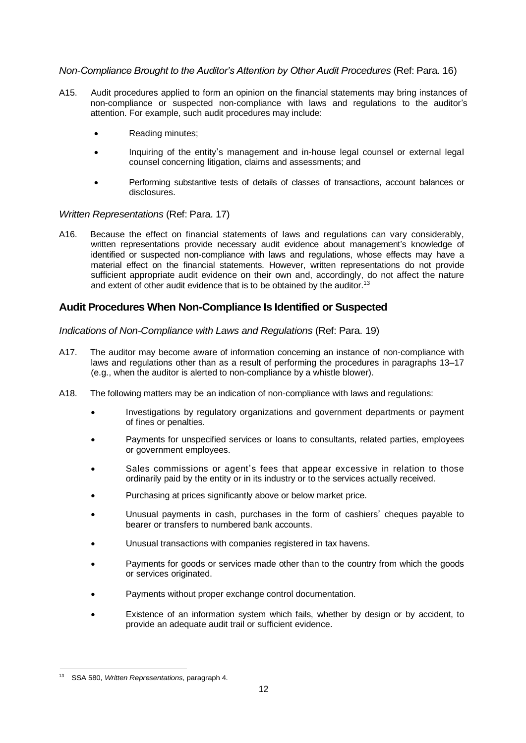## *Non-Compliance Brought to the Auditor's Attention by Other Audit Procedures* (Ref: Para. 16)

- A15. Audit procedures applied to form an opinion on the financial statements may bring instances of non-compliance or suspected non-compliance with laws and regulations to the auditor's attention. For example, such audit procedures may include:
	- Reading minutes;
	- Inquiring of the entity's management and in-house legal counsel or external legal counsel concerning litigation, claims and assessments; and
	- Performing substantive tests of details of classes of transactions, account balances or disclosures.

#### *Written Representations* (Ref: Para. 17)

A16. Because the effect on financial statements of laws and regulations can vary considerably, written representations provide necessary audit evidence about management's knowledge of identified or suspected non-compliance with laws and regulations, whose effects may have a material effect on the financial statements. However, written representations do not provide sufficient appropriate audit evidence on their own and, accordingly, do not affect the nature and extent of other audit evidence that is to be obtained by the auditor.<sup>13</sup>

## **Audit Procedures When Non-Compliance Is Identified or Suspected**

#### *Indications of Non-Compliance with Laws and Regulations* (Ref: Para. 19)

- A17. The auditor may become aware of information concerning an instance of non-compliance with laws and regulations other than as a result of performing the procedures in paragraphs 13–17 (e.g., when the auditor is alerted to non-compliance by a whistle blower).
- A18. The following matters may be an indication of non-compliance with laws and regulations:
	- Investigations by regulatory organizations and government departments or payment of fines or penalties.
	- Payments for unspecified services or loans to consultants, related parties, employees or government employees.
	- Sales commissions or agent's fees that appear excessive in relation to those ordinarily paid by the entity or in its industry or to the services actually received.
	- Purchasing at prices significantly above or below market price.
	- Unusual payments in cash, purchases in the form of cashiers' cheques payable to bearer or transfers to numbered bank accounts.
	- Unusual transactions with companies registered in tax havens.
	- Payments for goods or services made other than to the country from which the goods or services originated.
	- Payments without proper exchange control documentation.
	- Existence of an information system which fails, whether by design or by accident, to provide an adequate audit trail or sufficient evidence.

<sup>13</sup> SSA 580, *Written Representations*, paragraph 4.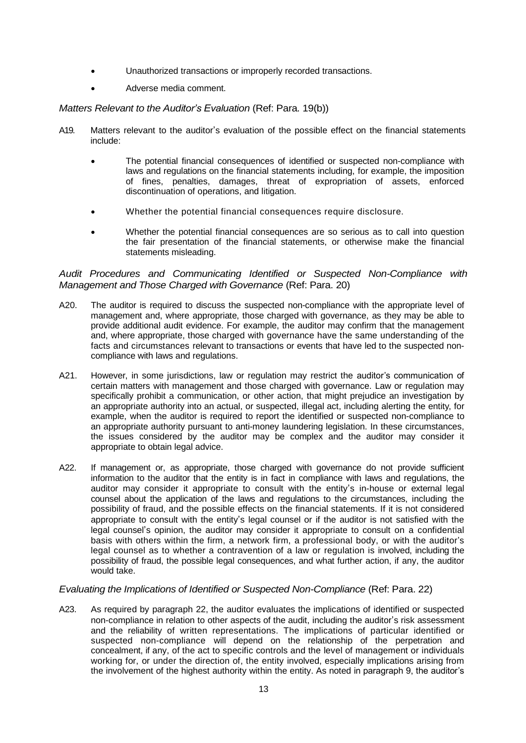- Unauthorized transactions or improperly recorded transactions.
- Adverse media comment.

*Matters Relevant to the Auditor's Evaluation* (Ref: Para. 19(b))

- A19. Matters relevant to the auditor's evaluation of the possible effect on the financial statements include:
	- The potential financial consequences of identified or suspected non-compliance with laws and regulations on the financial statements including, for example, the imposition of fines, penalties, damages, threat of expropriation of assets, enforced discontinuation of operations, and litigation.
	- Whether the potential financial consequences require disclosure.
	- Whether the potential financial consequences are so serious as to call into question the fair presentation of the financial statements, or otherwise make the financial statements misleading.

## *Audit Procedures and Communicating Identified or Suspected Non-Compliance with Management and Those Charged with Governance* (Ref: Para. 20)

- A20. The auditor is required to discuss the suspected non-compliance with the appropriate level of management and, where appropriate, those charged with governance, as they may be able to provide additional audit evidence. For example, the auditor may confirm that the management and, where appropriate, those charged with governance have the same understanding of the facts and circumstances relevant to transactions or events that have led to the suspected noncompliance with laws and regulations.
- A21. However, in some jurisdictions, law or regulation may restrict the auditor's communication of certain matters with management and those charged with governance. Law or regulation may specifically prohibit a communication, or other action, that might prejudice an investigation by an appropriate authority into an actual, or suspected, illegal act, including alerting the entity, for example, when the auditor is required to report the identified or suspected non-compliance to an appropriate authority pursuant to anti-money laundering legislation. In these circumstances, the issues considered by the auditor may be complex and the auditor may consider it appropriate to obtain legal advice.
- A22. If management or, as appropriate, those charged with governance do not provide sufficient information to the auditor that the entity is in fact in compliance with laws and regulations, the auditor may consider it appropriate to consult with the entity's in-house or external legal counsel about the application of the laws and regulations to the circumstances, including the possibility of fraud, and the possible effects on the financial statements. If it is not considered appropriate to consult with the entity's legal counsel or if the auditor is not satisfied with the legal counsel's opinion, the auditor may consider it appropriate to consult on a confidential basis with others within the firm, a network firm, a professional body, or with the auditor's legal counsel as to whether a contravention of a law or regulation is involved, including the possibility of fraud, the possible legal consequences, and what further action, if any, the auditor would take.

#### *Evaluating the Implications of Identified or Suspected Non-Compliance* (Ref: Para. 22)

A23. As required by paragraph 22, the auditor evaluates the implications of identified or suspected non-compliance in relation to other aspects of the audit, including the auditor's risk assessment and the reliability of written representations. The implications of particular identified or suspected non-compliance will depend on the relationship of the perpetration and concealment, if any, of the act to specific controls and the level of management or individuals working for, or under the direction of, the entity involved, especially implications arising from the involvement of the highest authority within the entity. As noted in paragraph 9, the auditor's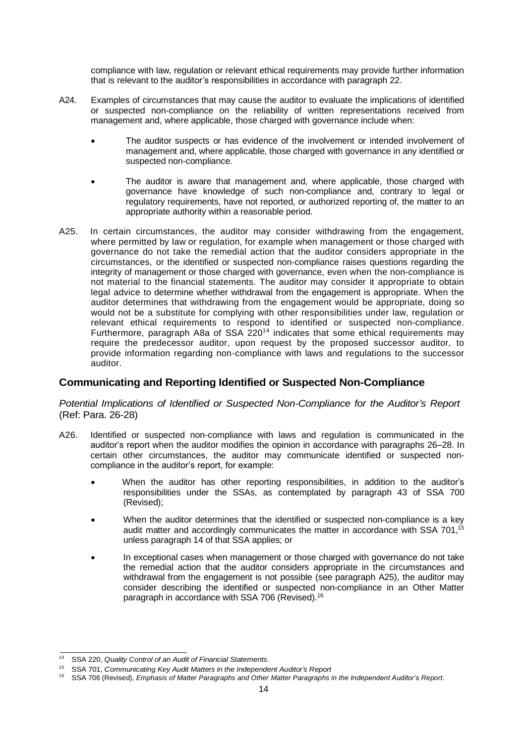compliance with law, regulation or relevant ethical requirements may provide further information that is relevant to the auditor's responsibilities in accordance with paragraph 22.

- A24. Examples of circumstances that may cause the auditor to evaluate the implications of identified or suspected non-compliance on the reliability of written representations received from management and, where applicable, those charged with governance include when:
	- The auditor suspects or has evidence of the involvement or intended involvement of management and, where applicable, those charged with governance in any identified or suspected non-compliance.
	- The auditor is aware that management and, where applicable, those charged with governance have knowledge of such non-compliance and, contrary to legal or regulatory requirements, have not reported, or authorized reporting of, the matter to an appropriate authority within a reasonable period.
- A25. In certain circumstances, the auditor may consider withdrawing from the engagement, where permitted by law or regulation, for example when management or those charged with governance do not take the remedial action that the auditor considers appropriate in the circumstances, or the identified or suspected non-compliance raises questions regarding the integrity of management or those charged with governance, even when the non-compliance is not material to the financial statements. The auditor may consider it appropriate to obtain legal advice to determine whether withdrawal from the engagement is appropriate. When the auditor determines that withdrawing from the engagement would be appropriate, doing so would not be a substitute for complying with other responsibilities under law, regulation or relevant ethical requirements to respond to identified or suspected non-compliance. Furthermore, paragraph A8a of SSA 220<sup>14</sup> indicates that some ethical requirements may require the predecessor auditor, upon request by the proposed successor auditor, to provide information regarding non-compliance with laws and regulations to the successor auditor.

## **Communicating and Reporting Identified or Suspected Non-Compliance**

*Potential Implications of Identified or Suspected Non-Compliance for the Auditor's Report*  (Ref: Para. 26-28)

- A26. Identified or suspected non-compliance with laws and regulation is communicated in the auditor's report when the auditor modifies the opinion in accordance with paragraphs 26–28. In certain other circumstances, the auditor may communicate identified or suspected noncompliance in the auditor's report, for example:
	- When the auditor has other reporting responsibilities, in addition to the auditor's responsibilities under the SSAs, as contemplated by paragraph 43 of SSA 700 (Revised);
	- When the auditor determines that the identified or suspected non-compliance is a key audit matter and accordingly communicates the matter in accordance with SSA 701,<sup>15</sup> unless paragraph 14 of that SSA applies; or
	- In exceptional cases when management or those charged with governance do not take the remedial action that the auditor considers appropriate in the circumstances and withdrawal from the engagement is not possible (see paragraph A25), the auditor may consider describing the identified or suspected non-compliance in an Other Matter paragraph in accordance with SSA 706 (Revised).<sup>16</sup>

<sup>14</sup> SSA 220, *Quality Control of an Audit of Financial Statements*.

<sup>15</sup> SSA 701, *Communicating Key Audit Matters in the Independent Auditor's Report*

<sup>16</sup> SSA 706 (Revised), *Emphasis of Matter Paragraphs and Other Matter Paragraphs in the Independent Auditor's Report*.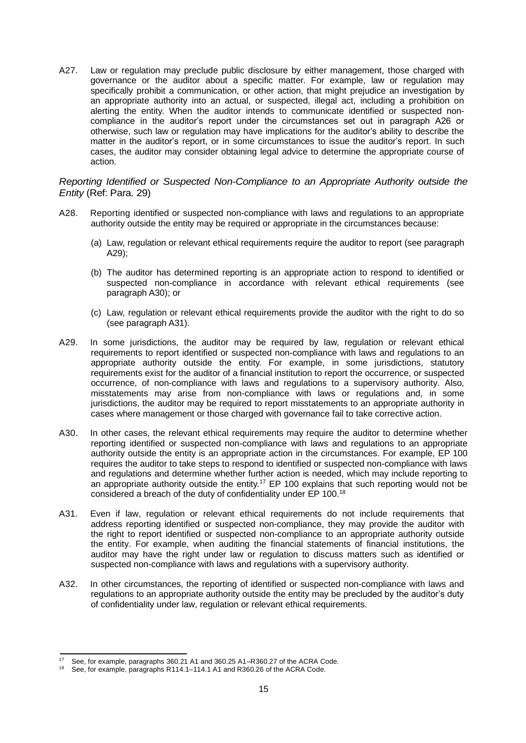A27. Law or regulation may preclude public disclosure by either management, those charged with governance or the auditor about a specific matter. For example, law or regulation may specifically prohibit a communication, or other action, that might prejudice an investigation by an appropriate authority into an actual, or suspected, illegal act, including a prohibition on alerting the entity. When the auditor intends to communicate identified or suspected noncompliance in the auditor's report under the circumstances set out in paragraph A26 or otherwise, such law or regulation may have implications for the auditor's ability to describe the matter in the auditor's report, or in some circumstances to issue the auditor's report. In such cases, the auditor may consider obtaining legal advice to determine the appropriate course of action.

#### *Reporting Identified or Suspected Non-Compliance to an Appropriate Authority outside the Entity* (Ref: Para. 29)

- A28. Reporting identified or suspected non-compliance with laws and regulations to an appropriate authority outside the entity may be required or appropriate in the circumstances because:
	- (a) Law, regulation or relevant ethical requirements require the auditor to report (see paragraph A29);
	- (b) The auditor has determined reporting is an appropriate action to respond to identified or suspected non-compliance in accordance with relevant ethical requirements (see paragraph A30); or
	- (c) Law, regulation or relevant ethical requirements provide the auditor with the right to do so (see paragraph A31).
- A29. In some jurisdictions, the auditor may be required by law, regulation or relevant ethical requirements to report identified or suspected non-compliance with laws and regulations to an appropriate authority outside the entity. For example, in some jurisdictions, statutory requirements exist for the auditor of a financial institution to report the occurrence, or suspected occurrence, of non-compliance with laws and regulations to a supervisory authority. Also, misstatements may arise from non-compliance with laws or regulations and, in some jurisdictions, the auditor may be required to report misstatements to an appropriate authority in cases where management or those charged with governance fail to take corrective action.
- A30. In other cases, the relevant ethical requirements may require the auditor to determine whether reporting identified or suspected non-compliance with laws and regulations to an appropriate authority outside the entity is an appropriate action in the circumstances. For example, EP 100 requires the auditor to take steps to respond to identified or suspected non-compliance with laws and regulations and determine whether further action is needed, which may include reporting to an appropriate authority outside the entity.<sup>17</sup> EP 100 explains that such reporting would not be considered a breach of the duty of confidentiality under EP 100. 18
- A31. Even if law, regulation or relevant ethical requirements do not include requirements that address reporting identified or suspected non-compliance, they may provide the auditor with the right to report identified or suspected non-compliance to an appropriate authority outside the entity. For example, when auditing the financial statements of financial institutions, the auditor may have the right under law or regulation to discuss matters such as identified or suspected non-compliance with laws and regulations with a supervisory authority.
- A32. In other circumstances, the reporting of identified or suspected non-compliance with laws and regulations to an appropriate authority outside the entity may be precluded by the auditor's duty of confidentiality under law, regulation or relevant ethical requirements.

<sup>17</sup> See, for example, paragraphs 360.21 A1 and 360.25 A1–R360.27 of the ACRA Code.

See, for example, paragraphs R114.1–114.1 A1 and R360.26 of the ACRA Code.